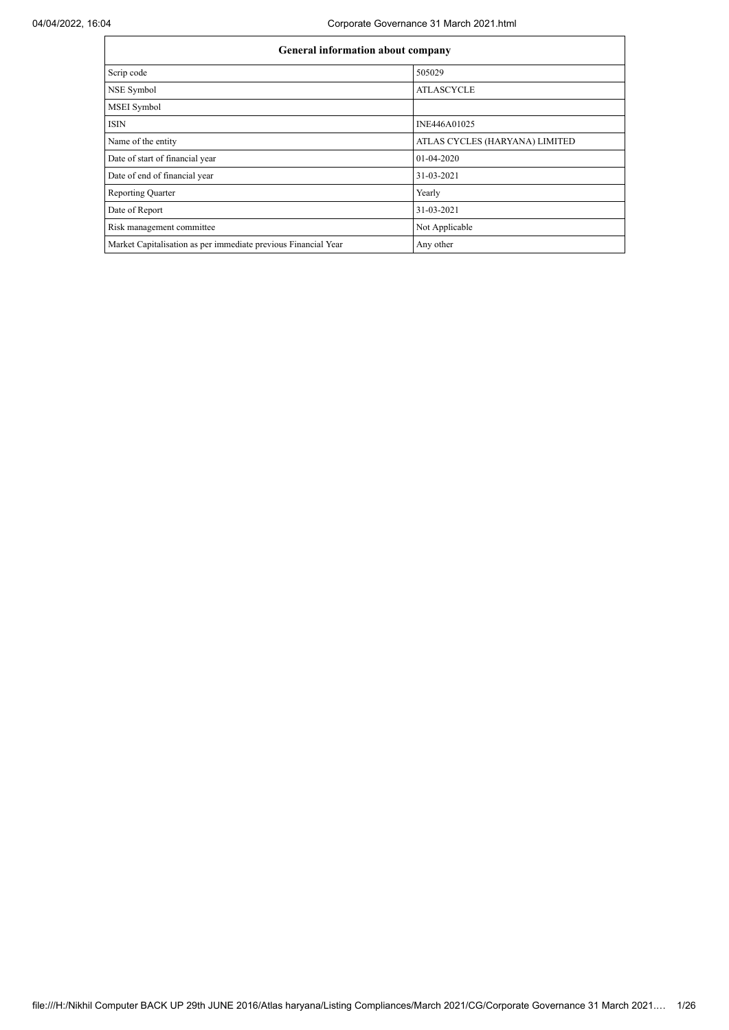| General information about company                              |                                |
|----------------------------------------------------------------|--------------------------------|
| Scrip code                                                     | 505029                         |
| NSE Symbol                                                     | <b>ATLASCYCLE</b>              |
| MSEI Symbol                                                    |                                |
| <b>ISIN</b>                                                    | INE446A01025                   |
| Name of the entity                                             | ATLAS CYCLES (HARYANA) LIMITED |
| Date of start of financial year                                | 01-04-2020                     |
| Date of end of financial year                                  | 31-03-2021                     |
| <b>Reporting Quarter</b>                                       | Yearly                         |
| Date of Report                                                 | 31-03-2021                     |
| Risk management committee                                      | Not Applicable                 |
| Market Capitalisation as per immediate previous Financial Year | Any other                      |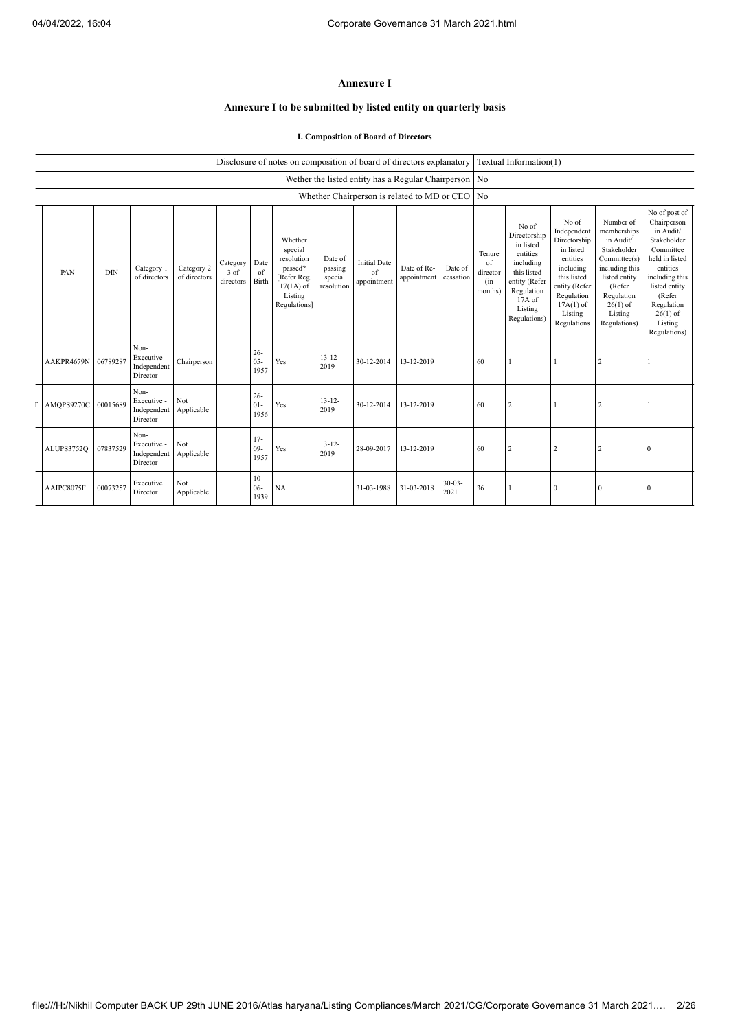## **Annexure I**

## **Annexure I to be submitted by listed entity on quarterly basis**

## **I. Composition of Board of Directors**

|            |            |                                                |                            |                                 |                          | Disclosure of notes on composition of board of directors explanatory                                 |                                             |                                          |                                                       |                      |                                            | Textual Information(1)                                                                                                                         |                                                                                                                                                                   |                                                                                                                                                                          |                                                                                                                                                                                                         |
|------------|------------|------------------------------------------------|----------------------------|---------------------------------|--------------------------|------------------------------------------------------------------------------------------------------|---------------------------------------------|------------------------------------------|-------------------------------------------------------|----------------------|--------------------------------------------|------------------------------------------------------------------------------------------------------------------------------------------------|-------------------------------------------------------------------------------------------------------------------------------------------------------------------|--------------------------------------------------------------------------------------------------------------------------------------------------------------------------|---------------------------------------------------------------------------------------------------------------------------------------------------------------------------------------------------------|
|            |            |                                                |                            |                                 |                          |                                                                                                      |                                             |                                          | Wether the listed entity has a Regular Chairperson No |                      |                                            |                                                                                                                                                |                                                                                                                                                                   |                                                                                                                                                                          |                                                                                                                                                                                                         |
|            |            |                                                |                            |                                 |                          |                                                                                                      |                                             |                                          | Whether Chairperson is related to MD or CEO           |                      | N <sub>o</sub>                             |                                                                                                                                                |                                                                                                                                                                   |                                                                                                                                                                          |                                                                                                                                                                                                         |
| PAN        | <b>DIN</b> | Category 1<br>of directors                     | Category 2<br>of directors | Category<br>$3$ of<br>directors | Date<br>of<br>Birth      | Whether<br>special<br>resolution<br>passed?<br>[Refer Reg.<br>$17(1A)$ of<br>Listing<br>Regulations] | Date of<br>passing<br>special<br>resolution | <b>Initial Date</b><br>of<br>appointment | Date of Re-<br>appointment                            | Date of<br>cessation | Tenure<br>of<br>director<br>(in<br>months) | No of<br>Directorship<br>in listed<br>entities<br>including<br>this listed<br>entity (Refer<br>Regulation<br>17A of<br>Listing<br>Regulations) | No of<br>Independent<br>Directorship<br>in listed<br>entities<br>including<br>this listed<br>entity (Refer<br>Regulation<br>$17A(1)$ of<br>Listing<br>Regulations | Number of<br>memberships<br>in Audit/<br>Stakeholder<br>Committee(s)<br>including this<br>listed entity<br>(Refer<br>Regulation<br>$26(1)$ of<br>Listing<br>Regulations) | No of post of<br>Chairperson<br>in Audit/<br>Stakeholder<br>Committee<br>held in listed<br>entities<br>including this<br>listed entity<br>(Refer<br>Regulation<br>$26(1)$ of<br>Listing<br>Regulations) |
| AAKPR4679N | 06789287   | Non-<br>Executive -<br>Independent<br>Director | Chairperson                |                                 | $26 -$<br>$05 -$<br>1957 | Yes                                                                                                  | $13 - 12 -$<br>2019                         | 30-12-2014                               | 13-12-2019                                            |                      | 60                                         |                                                                                                                                                |                                                                                                                                                                   | 2                                                                                                                                                                        |                                                                                                                                                                                                         |
| AMQPS9270C | 00015689   | Non-<br>Executive -<br>Independent<br>Director | Not<br>Applicable          |                                 | $26 -$<br>$01 -$<br>1956 | Yes                                                                                                  | $13 - 12 -$<br>2019                         | 30-12-2014                               | 13-12-2019                                            |                      | 60                                         | 2                                                                                                                                              |                                                                                                                                                                   | 2                                                                                                                                                                        | 1                                                                                                                                                                                                       |
| ALUPS3752Q | 07837529   | Non-<br>Executive -<br>Independent<br>Director | <b>Not</b><br>Applicable   |                                 | $17-$<br>$09-$<br>1957   | Yes                                                                                                  | $13 - 12 -$<br>2019                         | 28-09-2017                               | 13-12-2019                                            |                      | 60                                         | 2                                                                                                                                              | $\overline{2}$                                                                                                                                                    | 2                                                                                                                                                                        | $\mathbf{0}$                                                                                                                                                                                            |
| AAIPC8075F | 00073257   | Executive<br>Director                          | Not<br>Applicable          |                                 | $10-$<br>$06 -$<br>1939  | <b>NA</b>                                                                                            |                                             | 31-03-1988                               | 31-03-2018                                            | $30 - 03 -$<br>2021  | 36                                         |                                                                                                                                                | $\mathbf{0}$                                                                                                                                                      | $\mathbf{0}$                                                                                                                                                             | $\mathbf{0}$                                                                                                                                                                                            |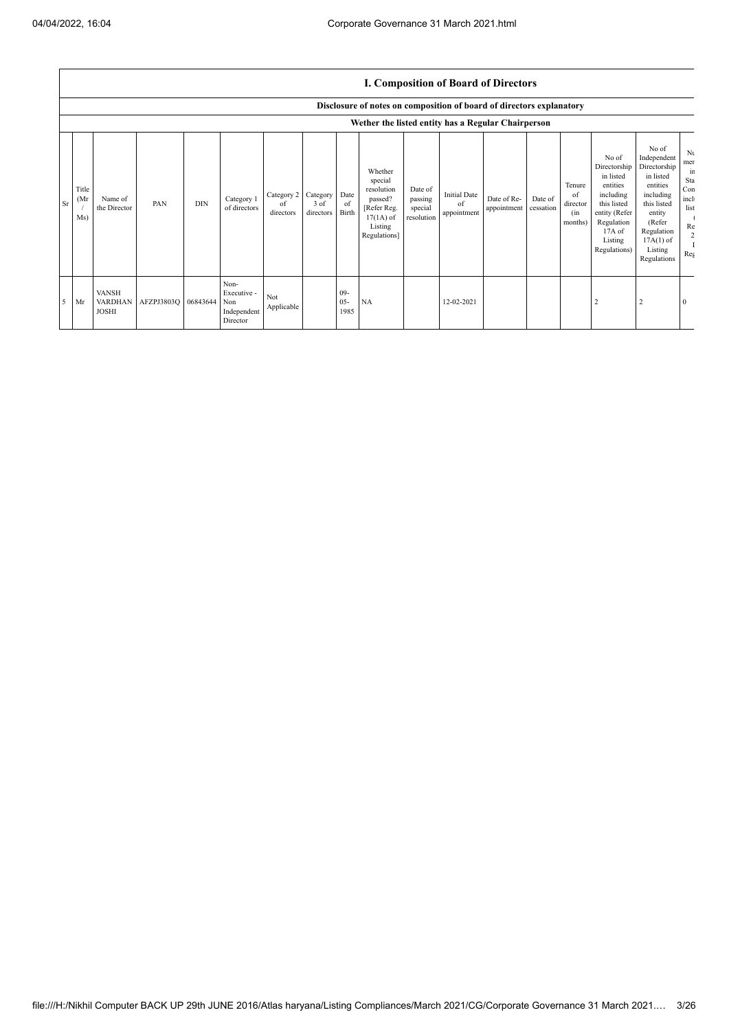|               |                                                                                                                            |                                                |            |            |                                                       |                               |                               |                          |                                                                                                      |                                             |                                          | <b>I. Composition of Board of Directors</b> |                      |                                            |                                                                                                                                                  |                                                                                                                                                                      |                                                                                          |
|---------------|----------------------------------------------------------------------------------------------------------------------------|------------------------------------------------|------------|------------|-------------------------------------------------------|-------------------------------|-------------------------------|--------------------------|------------------------------------------------------------------------------------------------------|---------------------------------------------|------------------------------------------|---------------------------------------------|----------------------|--------------------------------------------|--------------------------------------------------------------------------------------------------------------------------------------------------|----------------------------------------------------------------------------------------------------------------------------------------------------------------------|------------------------------------------------------------------------------------------|
|               | Disclosure of notes on composition of board of directors explanatory<br>Wether the listed entity has a Regular Chairperson |                                                |            |            |                                                       |                               |                               |                          |                                                                                                      |                                             |                                          |                                             |                      |                                            |                                                                                                                                                  |                                                                                                                                                                      |                                                                                          |
| <sub>Sr</sub> | Title<br>(Mr<br>Ms)                                                                                                        | Name of<br>the Director                        | PAN        | <b>DIN</b> | Category 1<br>of directors                            | Category 2<br>of<br>directors | Category<br>3 of<br>directors | Date<br>of<br>Birth      | Whether<br>special<br>resolution<br>passed?<br>[Refer Reg.<br>$17(1A)$ of<br>Listing<br>Regulations] | Date of<br>passing<br>special<br>resolution | <b>Initial Date</b><br>of<br>appointment | Date of Re-<br>appointment                  | Date of<br>cessation | Tenure<br>of<br>director<br>(in<br>months) | No of<br>Directorship<br>in listed<br>entities<br>including<br>this listed<br>entity (Refer<br>Regulation<br>$17A$ of<br>Listing<br>Regulations) | No of<br>Independent<br>Directorship<br>in listed<br>entities<br>including<br>this listed<br>entity<br>(Refer<br>Regulation<br>$17A(1)$ of<br>Listing<br>Regulations | N <sub>t</sub><br>mer<br>in<br>Sta<br>Con<br>incl<br>list<br>Re<br>$\overline{2}$<br>Reg |
| -5            | Mr                                                                                                                         | <b>VANSH</b><br><b>VARDHAN</b><br><b>JOSHI</b> | AFZPJ3803Q | 06843644   | Non-<br>Executive -<br>Non<br>Independent<br>Director | Not<br>Applicable             |                               | $09 -$<br>$05 -$<br>1985 | <b>NA</b>                                                                                            |                                             | 12-02-2021                               |                                             |                      |                                            | $\overline{2}$                                                                                                                                   | 2                                                                                                                                                                    | $\bf{0}$                                                                                 |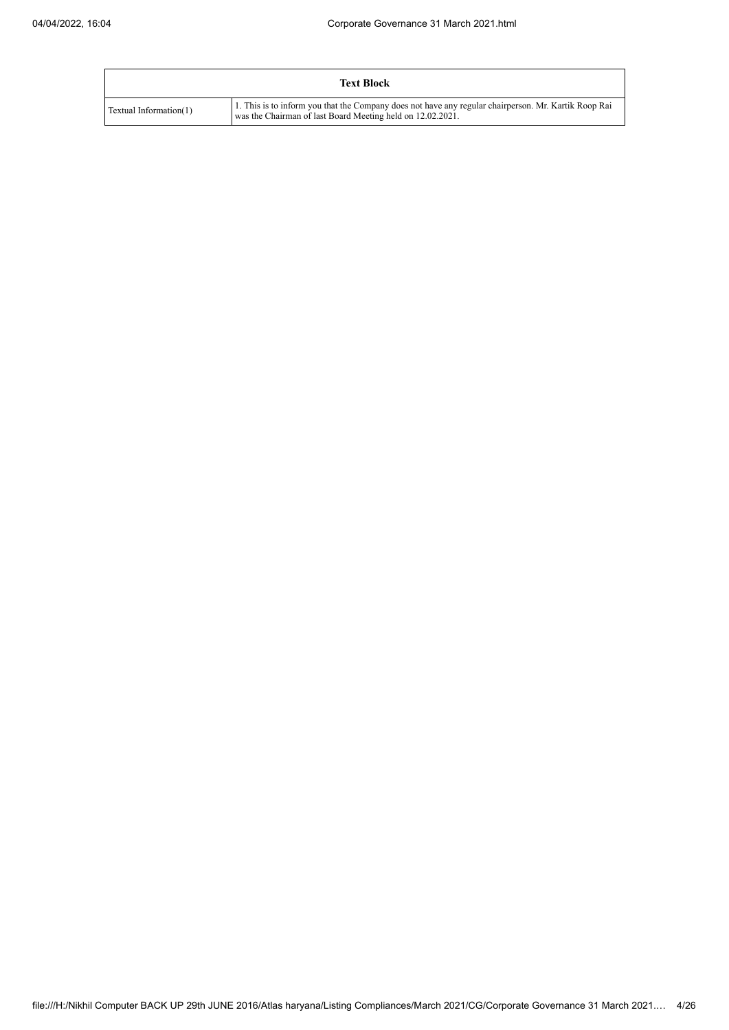|                        | <b>Text Block</b>                                                                                                                                                  |
|------------------------|--------------------------------------------------------------------------------------------------------------------------------------------------------------------|
| Textual Information(1) | 1. This is to inform you that the Company does not have any regular chairperson. Mr. Kartik Roop Rai<br>was the Chairman of last Board Meeting held on 12.02.2021. |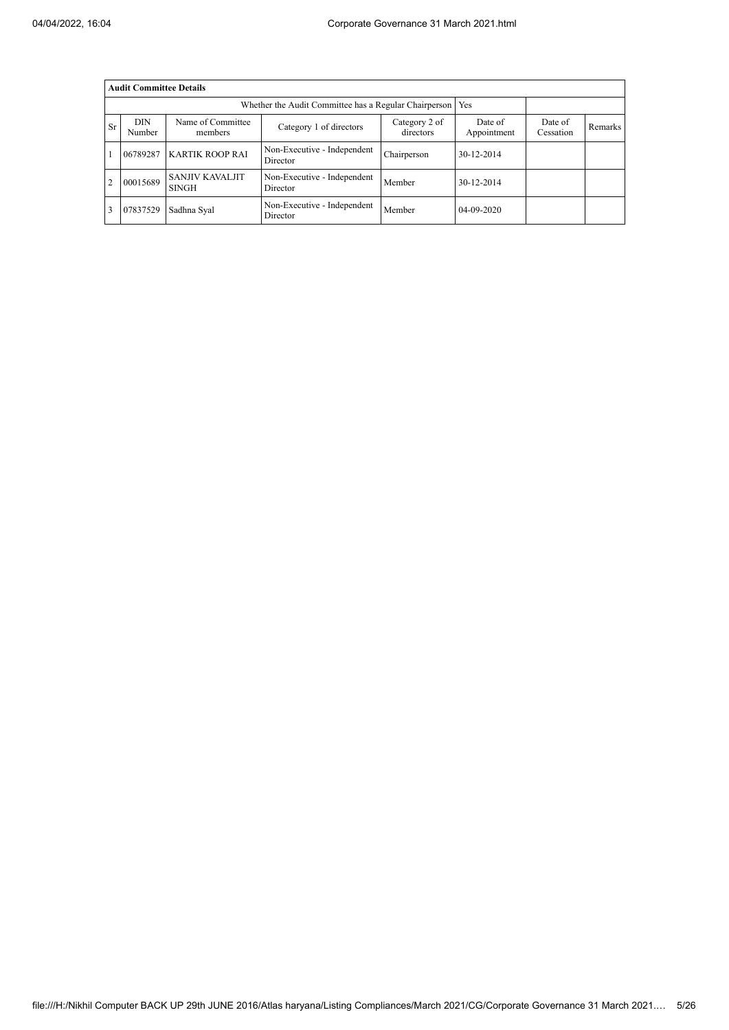|           | <b>Audit Committee Details</b>                               |                                        |                                         |                            |                        |                      |                |  |  |  |  |  |  |
|-----------|--------------------------------------------------------------|----------------------------------------|-----------------------------------------|----------------------------|------------------------|----------------------|----------------|--|--|--|--|--|--|
|           | Whether the Audit Committee has a Regular Chairperson<br>Yes |                                        |                                         |                            |                        |                      |                |  |  |  |  |  |  |
| <b>Sr</b> | <b>DIN</b><br>Number                                         | Name of Committee<br>members           | Category 1 of directors                 | Category 2 of<br>directors | Date of<br>Appointment | Date of<br>Cessation | <b>Remarks</b> |  |  |  |  |  |  |
|           | 06789287                                                     | <b>KARTIK ROOP RAI</b>                 | Non-Executive - Independent<br>Director | Chairperson                | 30-12-2014             |                      |                |  |  |  |  |  |  |
|           | 00015689                                                     | <b>SANJIV KAVALJIT</b><br><b>SINGH</b> | Non-Executive - Independent<br>Director | Member                     | 30-12-2014             |                      |                |  |  |  |  |  |  |
|           | 07837529                                                     | Sadhna Syal                            | Non-Executive - Independent<br>Director | Member                     | 04-09-2020             |                      |                |  |  |  |  |  |  |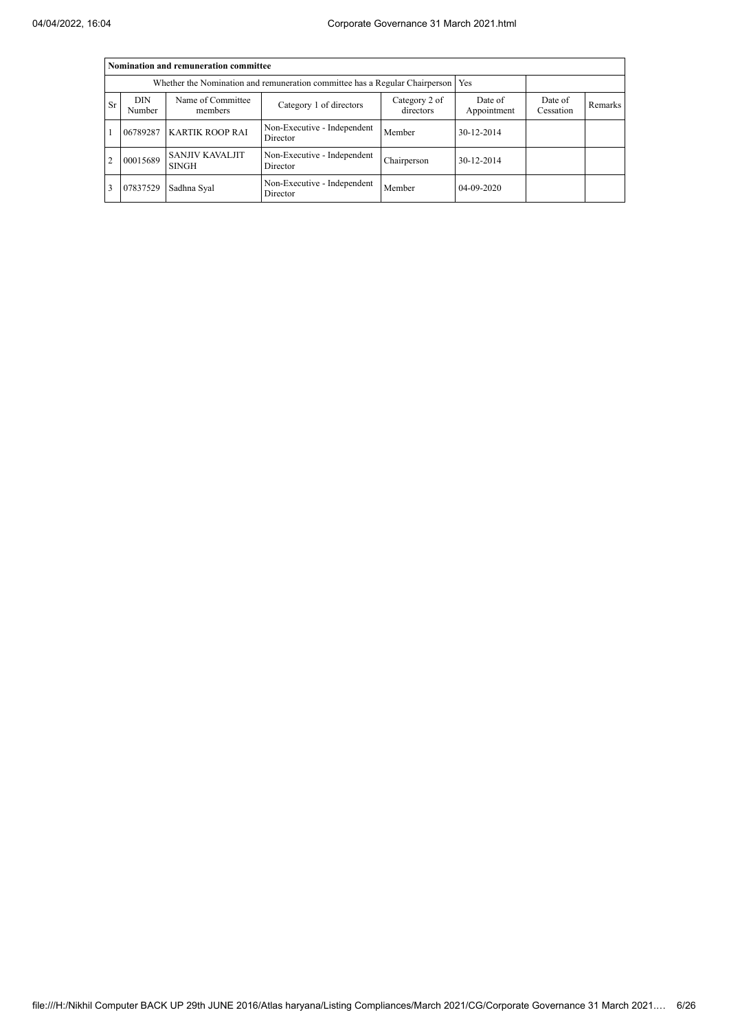|           | Nomination and remuneration committee                                             |                                        |                                         |                            |                        |                      |         |  |  |  |  |  |  |
|-----------|-----------------------------------------------------------------------------------|----------------------------------------|-----------------------------------------|----------------------------|------------------------|----------------------|---------|--|--|--|--|--|--|
|           | Whether the Nomination and remuneration committee has a Regular Chairperson   Yes |                                        |                                         |                            |                        |                      |         |  |  |  |  |  |  |
| <b>Sr</b> | <b>DIN</b><br>Number                                                              | Name of Committee<br>members           | Category 1 of directors                 | Category 2 of<br>directors | Date of<br>Appointment | Date of<br>Cessation | Remarks |  |  |  |  |  |  |
|           | 06789287                                                                          | <b>KARTIK ROOP RAI</b>                 | Non-Executive - Independent<br>Director | Member                     | 30-12-2014             |                      |         |  |  |  |  |  |  |
| 2         | 00015689                                                                          | <b>SANJIV KAVALJIT</b><br><b>SINGH</b> | Non-Executive - Independent<br>Director | Chairperson                | 30-12-2014             |                      |         |  |  |  |  |  |  |
| 3         | 07837529                                                                          | Sadhna Syal                            | Non-Executive - Independent<br>Director | Member                     | 04-09-2020             |                      |         |  |  |  |  |  |  |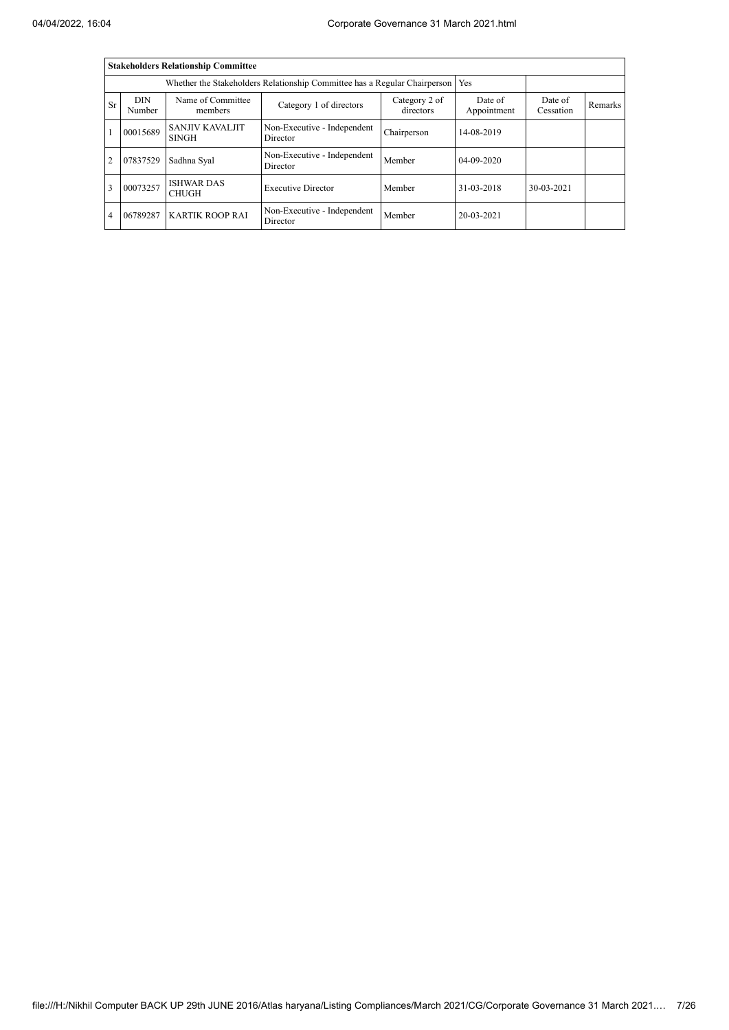|                |                      | <b>Stakeholders Relationship Committee</b> |                                                                           |                            |                        |                      |         |
|----------------|----------------------|--------------------------------------------|---------------------------------------------------------------------------|----------------------------|------------------------|----------------------|---------|
|                |                      |                                            | Whether the Stakeholders Relationship Committee has a Regular Chairperson |                            | Yes                    |                      |         |
| Sr             | <b>DIN</b><br>Number | Name of Committee<br>members               | Category 1 of directors                                                   | Category 2 of<br>directors | Date of<br>Appointment | Date of<br>Cessation | Remarks |
|                | 00015689             | <b>SANJIV KAVALJIT</b><br><b>SINGH</b>     | Non-Executive - Independent<br>Director                                   | Chairperson                | 14-08-2019             |                      |         |
| $\overline{2}$ | 07837529             | Sadhna Syal                                | Non-Executive - Independent<br>Director                                   | Member                     | 04-09-2020             |                      |         |
| 3              | 00073257             | <b>ISHWAR DAS</b><br><b>CHUGH</b>          | <b>Executive Director</b>                                                 | Member                     | 31-03-2018             | 30-03-2021           |         |
| $\overline{4}$ | 06789287             | <b>KARTIK ROOP RAI</b>                     | Non-Executive - Independent<br>Director                                   | Member                     | 20-03-2021             |                      |         |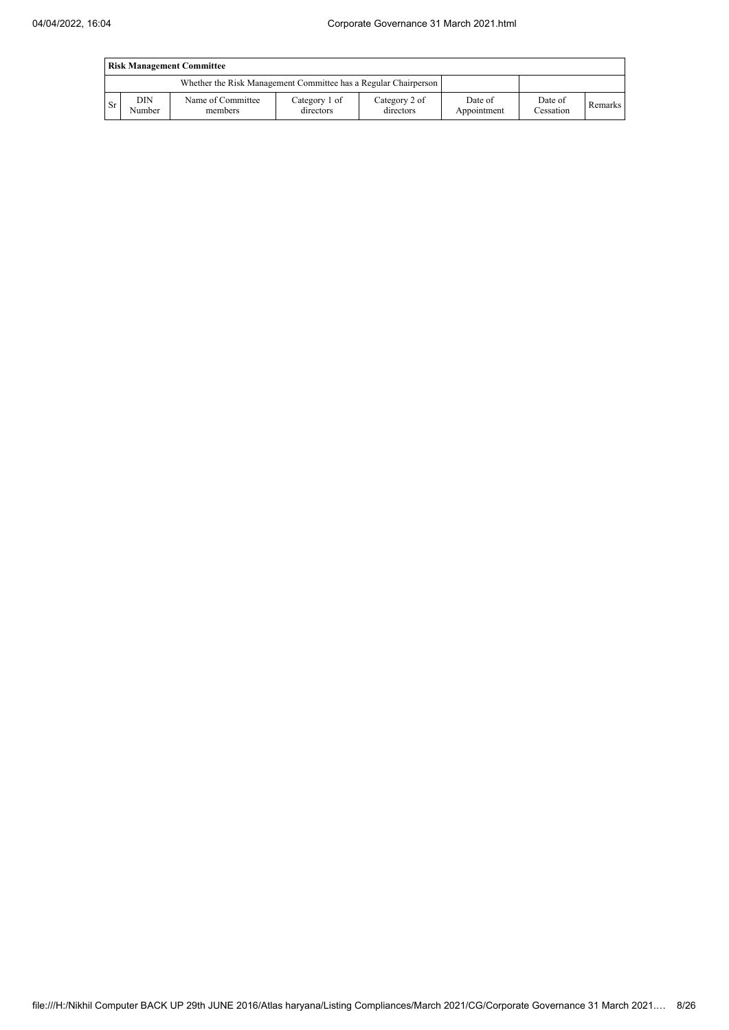|      | <b>Risk Management Committee</b> |                                                                 |                            |                            |                        |                      |         |  |  |  |  |  |
|------|----------------------------------|-----------------------------------------------------------------|----------------------------|----------------------------|------------------------|----------------------|---------|--|--|--|--|--|
|      |                                  | Whether the Risk Management Committee has a Regular Chairperson |                            |                            |                        |                      |         |  |  |  |  |  |
| l Sr | <b>DIN</b><br>Number             | Name of Committee<br>members                                    | Category 1 of<br>directors | Category 2 of<br>directors | Date of<br>Appointment | Date of<br>Cessation | Remarks |  |  |  |  |  |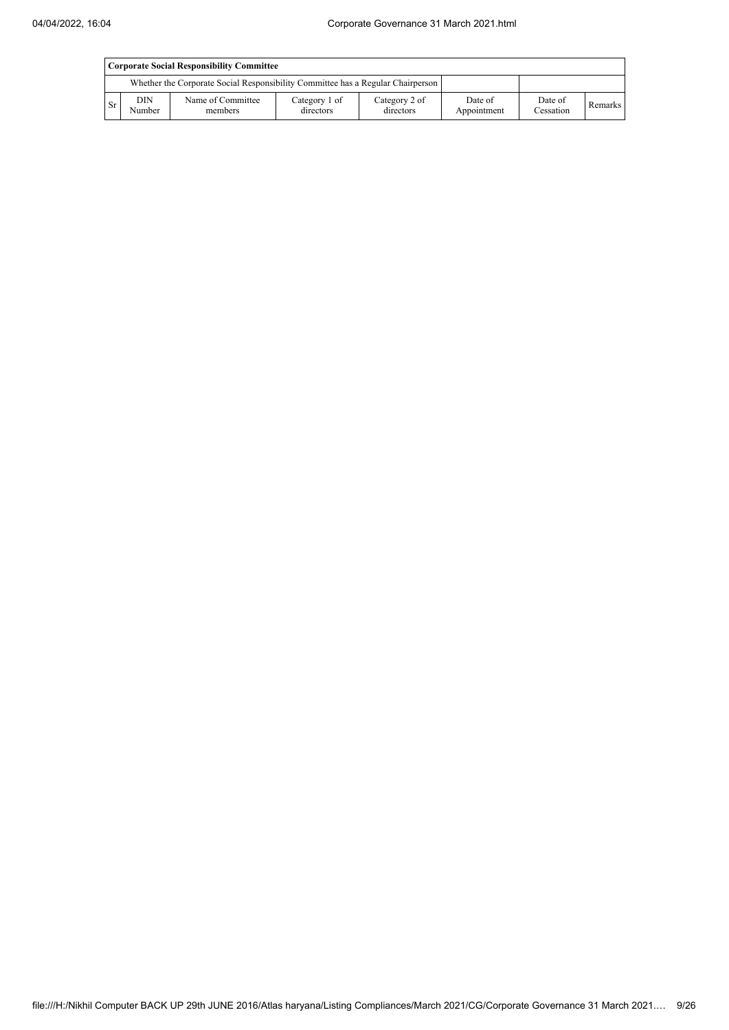|           | Corporate Social Responsibility Committee |                                                                                 |                            |                            |                        |                      |         |  |  |  |  |  |
|-----------|-------------------------------------------|---------------------------------------------------------------------------------|----------------------------|----------------------------|------------------------|----------------------|---------|--|--|--|--|--|
|           |                                           | Whether the Corporate Social Responsibility Committee has a Regular Chairperson |                            |                            |                        |                      |         |  |  |  |  |  |
| <b>Sr</b> | <b>DIN</b><br>Number                      | Name of Committee<br>members                                                    | Category 1 of<br>directors | Category 2 of<br>directors | Date of<br>Appointment | Date of<br>Cessation | Remarks |  |  |  |  |  |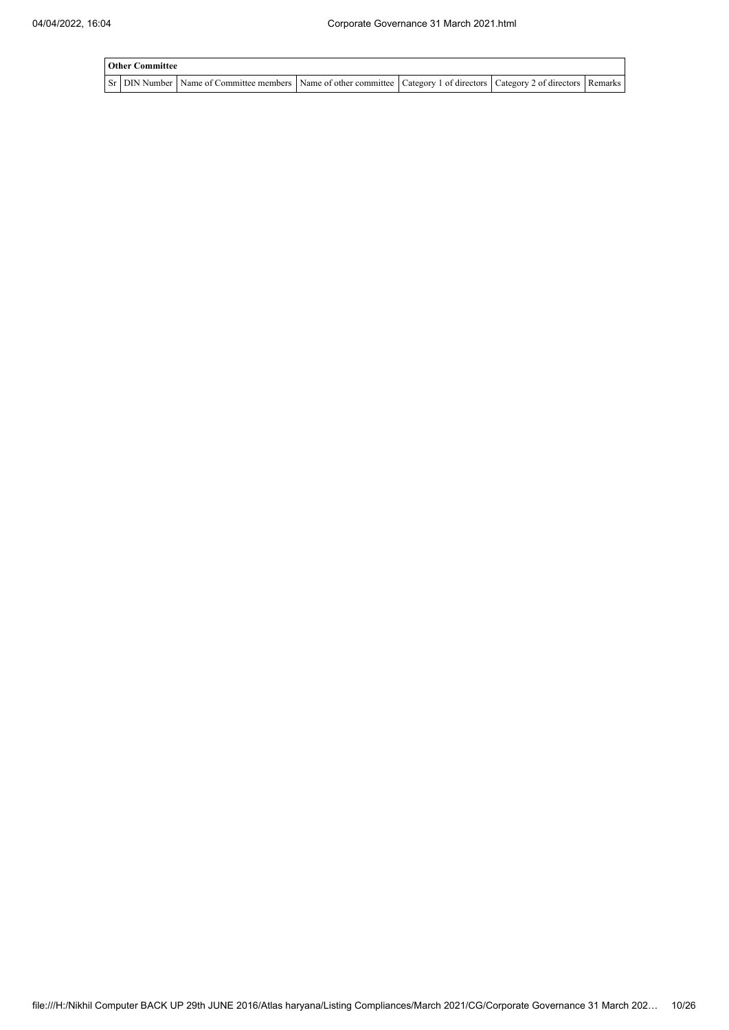| <b>Other Committee</b> |                                                                                                                                       |  |  |  |  |  |  |  |  |  |
|------------------------|---------------------------------------------------------------------------------------------------------------------------------------|--|--|--|--|--|--|--|--|--|
|                        | Sr   DIN Number   Name of Committee members   Name of other committee   Category 1 of directors   Category 2 of directors   Remarks ' |  |  |  |  |  |  |  |  |  |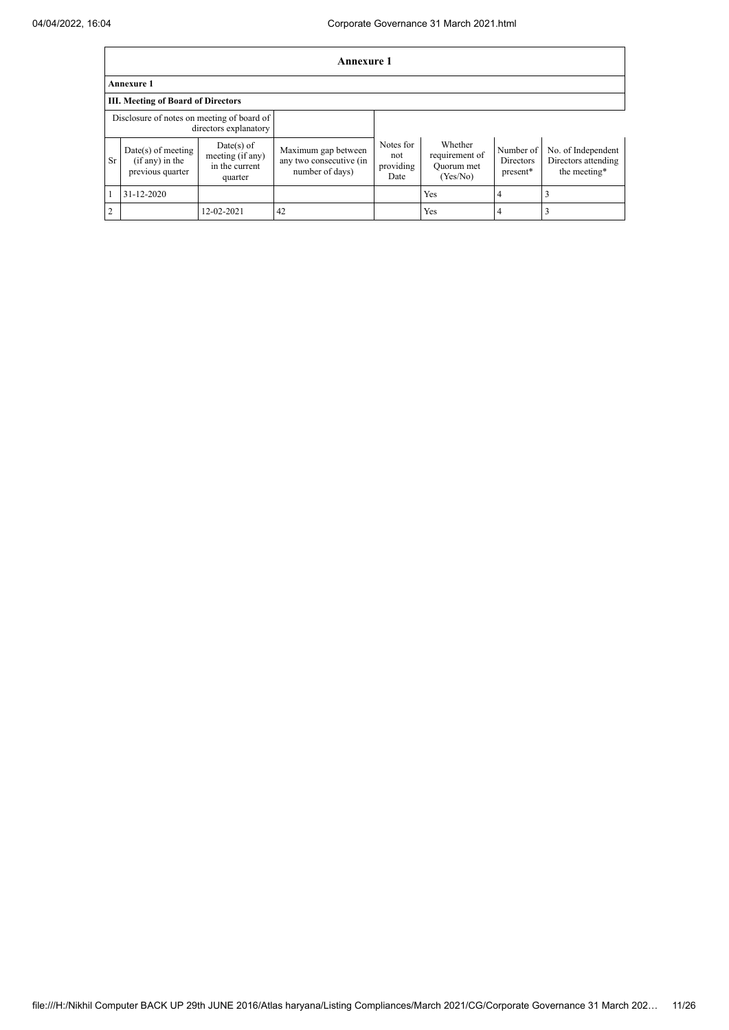$\mathbf{r}$ 

|           | <b>Annexure 1</b>                                                   |                                                               |                                                                   |                                       |                                                     |                                           |                                                           |  |  |  |  |
|-----------|---------------------------------------------------------------------|---------------------------------------------------------------|-------------------------------------------------------------------|---------------------------------------|-----------------------------------------------------|-------------------------------------------|-----------------------------------------------------------|--|--|--|--|
|           | <b>Annexure 1</b>                                                   |                                                               |                                                                   |                                       |                                                     |                                           |                                                           |  |  |  |  |
|           | <b>III.</b> Meeting of Board of Directors                           |                                                               |                                                                   |                                       |                                                     |                                           |                                                           |  |  |  |  |
|           | Disclosure of notes on meeting of board of<br>directors explanatory |                                                               |                                                                   |                                       |                                                     |                                           |                                                           |  |  |  |  |
| <b>Sr</b> | $Date(s)$ of meeting<br>$(if any)$ in the<br>previous quarter       | $Date(s)$ of<br>meeting (if any)<br>in the current<br>quarter | Maximum gap between<br>any two consecutive (in<br>number of days) | Notes for<br>not<br>providing<br>Date | Whether<br>requirement of<br>Quorum met<br>(Yes/No) | Number of<br><b>Directors</b><br>present* | No. of Independent<br>Directors attending<br>the meeting* |  |  |  |  |
|           | $31 - 12 - 2020$                                                    |                                                               |                                                                   |                                       | Yes                                                 | 4                                         |                                                           |  |  |  |  |
| 2         |                                                                     | 12-02-2021                                                    | 42                                                                |                                       | Yes                                                 | 4                                         |                                                           |  |  |  |  |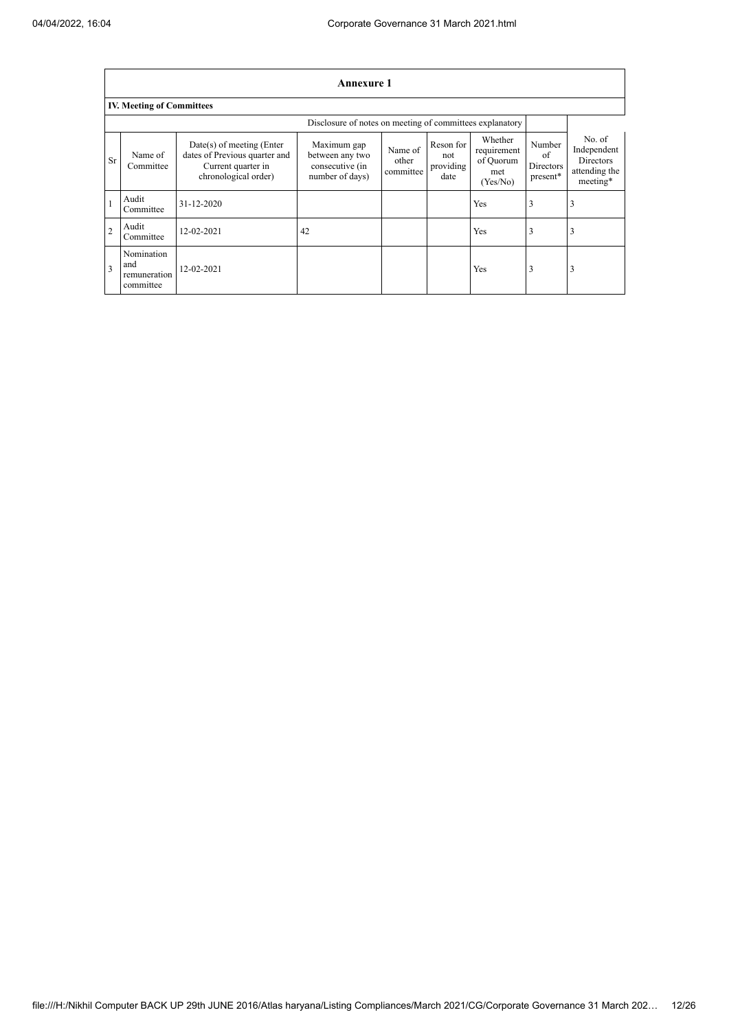$\overline{1}$ 

 $\overline{\phantom{a}}$ 

|                | Annexure 1                                     |                                                                                                            |                                                                      |                               |                                       |                                                        |                                       |                                                                 |  |  |  |  |
|----------------|------------------------------------------------|------------------------------------------------------------------------------------------------------------|----------------------------------------------------------------------|-------------------------------|---------------------------------------|--------------------------------------------------------|---------------------------------------|-----------------------------------------------------------------|--|--|--|--|
|                | <b>IV. Meeting of Committees</b>               |                                                                                                            |                                                                      |                               |                                       |                                                        |                                       |                                                                 |  |  |  |  |
|                |                                                |                                                                                                            |                                                                      |                               |                                       |                                                        |                                       |                                                                 |  |  |  |  |
| <b>Sr</b>      | Name of<br>Committee                           | $Date(s)$ of meeting (Enter<br>dates of Previous quarter and<br>Current quarter in<br>chronological order) | Maximum gap<br>between any two<br>consecutive (in<br>number of days) | Name of<br>other<br>committee | Reson for<br>not<br>providing<br>date | Whether<br>requirement<br>of Quorum<br>met<br>(Yes/No) | Number<br>of<br>Directors<br>present* | No. of<br>Independent<br>Directors<br>attending the<br>meeting* |  |  |  |  |
|                | Audit<br>Committee                             | 31-12-2020                                                                                                 |                                                                      |                               |                                       | Yes                                                    | 3                                     | 3                                                               |  |  |  |  |
| $\overline{2}$ | Audit<br>Committee                             | 12-02-2021                                                                                                 | 42                                                                   |                               |                                       | Yes                                                    | 3                                     |                                                                 |  |  |  |  |
| 3              | Nomination<br>and<br>remuneration<br>committee | 12-02-2021                                                                                                 |                                                                      |                               |                                       | Yes                                                    | 3                                     | 3                                                               |  |  |  |  |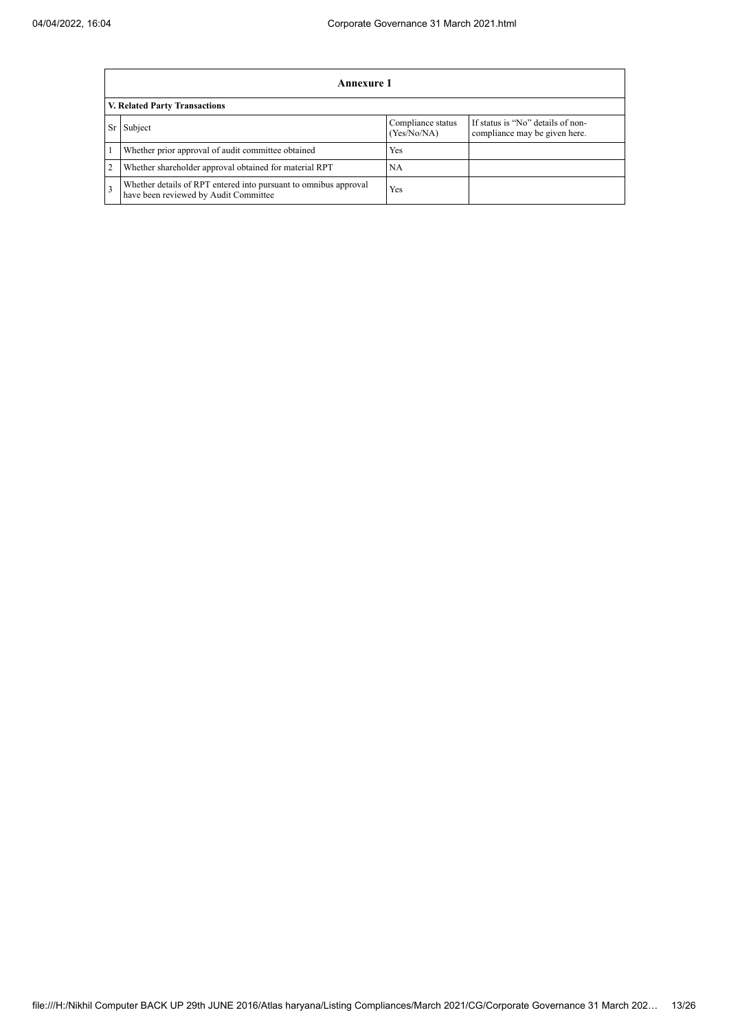|                | <b>Annexure 1</b>                                                                                         |                                  |                                                                    |  |  |  |
|----------------|-----------------------------------------------------------------------------------------------------------|----------------------------------|--------------------------------------------------------------------|--|--|--|
|                | V. Related Party Transactions                                                                             |                                  |                                                                    |  |  |  |
| Sr             | Subject                                                                                                   | Compliance status<br>(Yes/No/NA) | If status is "No" details of non-<br>compliance may be given here. |  |  |  |
|                | Whether prior approval of audit committee obtained                                                        | Yes                              |                                                                    |  |  |  |
| $\overline{2}$ | Whether shareholder approval obtained for material RPT                                                    | NA                               |                                                                    |  |  |  |
| 3              | Whether details of RPT entered into pursuant to omnibus approval<br>have been reviewed by Audit Committee | Yes                              |                                                                    |  |  |  |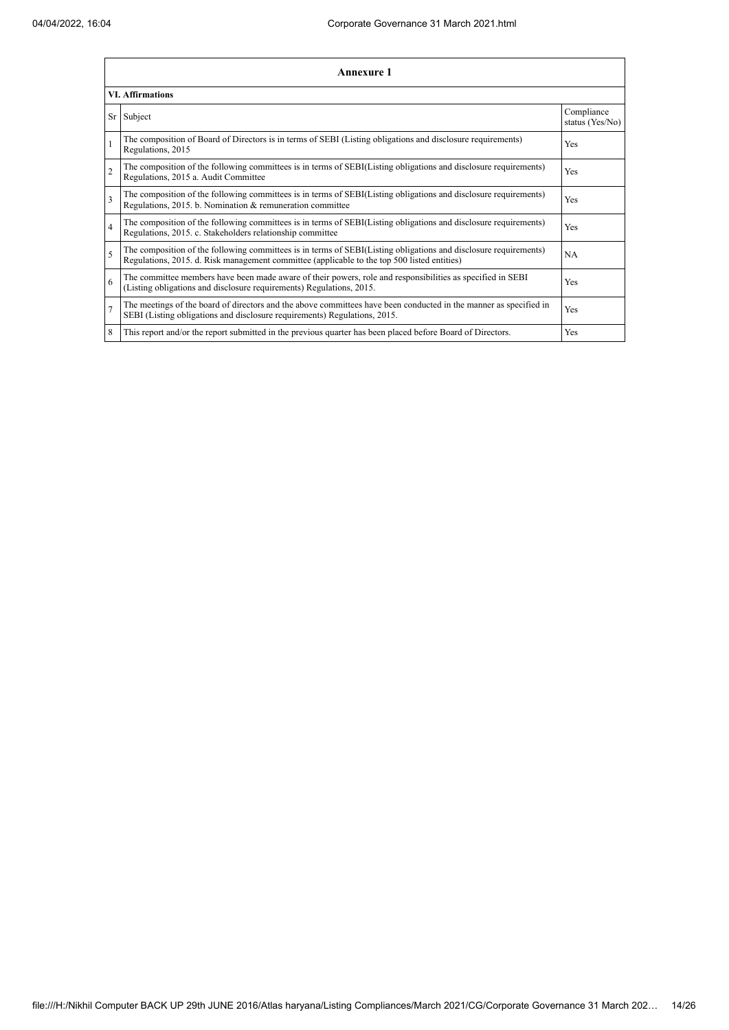|                          | Annexure 1                                                                                                                                                                                                      |                               |  |  |  |  |
|--------------------------|-----------------------------------------------------------------------------------------------------------------------------------------------------------------------------------------------------------------|-------------------------------|--|--|--|--|
|                          | <b>VI. Affirmations</b>                                                                                                                                                                                         |                               |  |  |  |  |
|                          | Sr Subject                                                                                                                                                                                                      | Compliance<br>status (Yes/No) |  |  |  |  |
|                          | The composition of Board of Directors is in terms of SEBI (Listing obligations and disclosure requirements)<br>Regulations, 2015                                                                                | Yes                           |  |  |  |  |
| $\overline{2}$           | The composition of the following committees is in terms of SEBI(Listing obligations and disclosure requirements)<br>Regulations, 2015 a. Audit Committee                                                        | Yes                           |  |  |  |  |
| 3                        | The composition of the following committees is in terms of SEBI(Listing obligations and disclosure requirements)<br>Regulations, 2015. b. Nomination & remuneration committee                                   | Yes                           |  |  |  |  |
| $\overline{4}$           | The composition of the following committees is in terms of SEBI(Listing obligations and disclosure requirements)<br>Regulations, 2015. c. Stakeholders relationship committee                                   | Yes                           |  |  |  |  |
| $\overline{\phantom{0}}$ | The composition of the following committees is in terms of SEBI(Listing obligations and disclosure requirements)<br>Regulations, 2015. d. Risk management committee (applicable to the top 500 listed entities) | <b>NA</b>                     |  |  |  |  |
| 6                        | The committee members have been made aware of their powers, role and responsibilities as specified in SEBI<br>(Listing obligations and disclosure requirements) Regulations, 2015.                              | Yes                           |  |  |  |  |
| $\overline{7}$           | The meetings of the board of directors and the above committees have been conducted in the manner as specified in<br>SEBI (Listing obligations and disclosure requirements) Regulations, 2015.                  | Yes                           |  |  |  |  |
| 8                        | This report and/or the report submitted in the previous quarter has been placed before Board of Directors.                                                                                                      | Yes                           |  |  |  |  |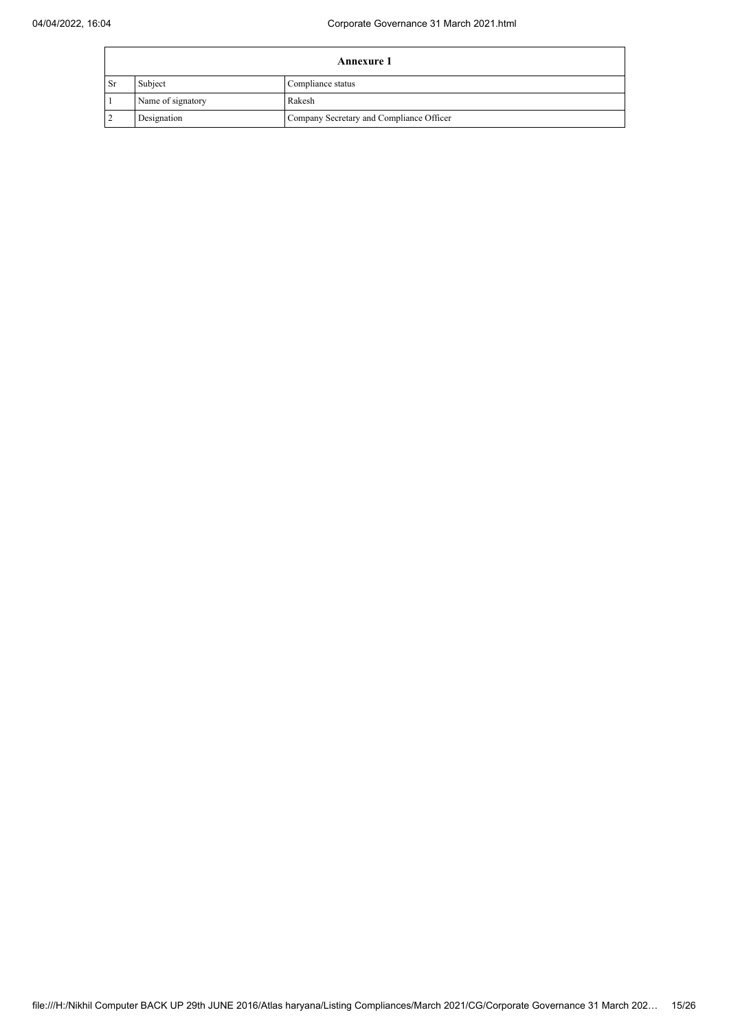|           | <b>Annexure 1</b> |                                          |  |  |  |
|-----------|-------------------|------------------------------------------|--|--|--|
| <b>Sr</b> | Subject           | Compliance status                        |  |  |  |
|           | Name of signatory | Rakesh                                   |  |  |  |
|           | Designation       | Company Secretary and Compliance Officer |  |  |  |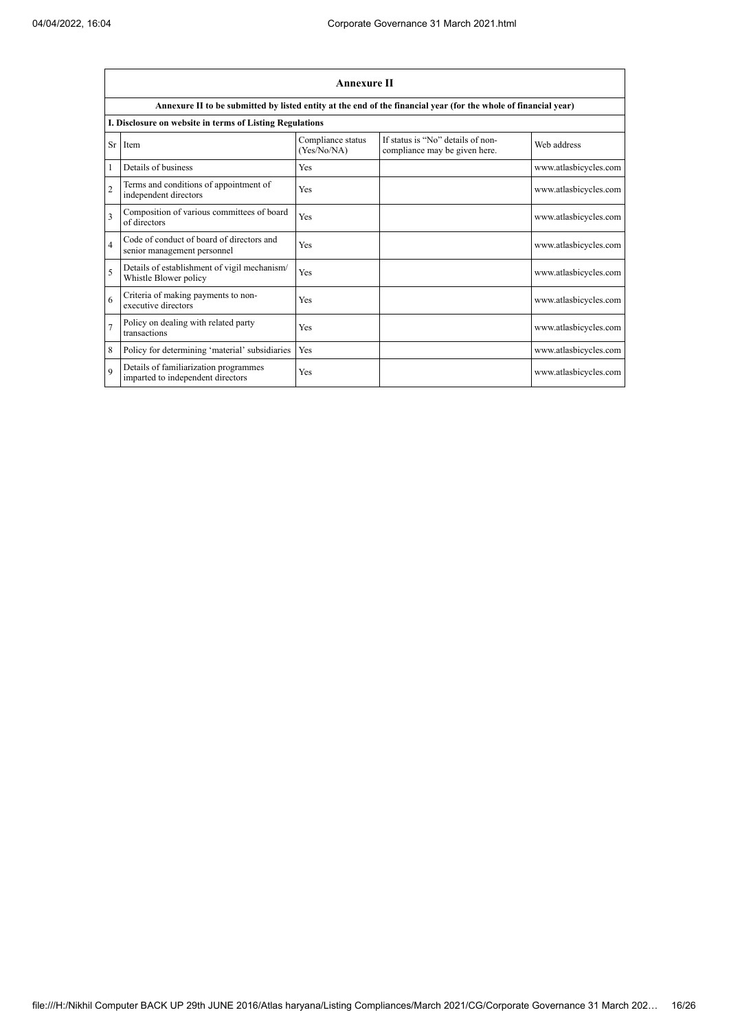|                | <b>Annexure II</b>                                                         |                                  |                                                                                                                 |                       |  |  |
|----------------|----------------------------------------------------------------------------|----------------------------------|-----------------------------------------------------------------------------------------------------------------|-----------------------|--|--|
|                |                                                                            |                                  | Annexure II to be submitted by listed entity at the end of the financial year (for the whole of financial year) |                       |  |  |
|                | I. Disclosure on website in terms of Listing Regulations                   |                                  |                                                                                                                 |                       |  |  |
| Sr             | Item                                                                       | Compliance status<br>(Yes/No/NA) | If status is "No" details of non-<br>compliance may be given here.                                              | Web address           |  |  |
| 1              | Details of business                                                        | Yes                              |                                                                                                                 | www.atlasbicycles.com |  |  |
| $\overline{2}$ | Terms and conditions of appointment of<br>independent directors            | Yes                              |                                                                                                                 | www.atlasbicycles.com |  |  |
| 3              | Composition of various committees of board<br>of directors                 | Yes                              |                                                                                                                 | www.atlasbicycles.com |  |  |
| $\overline{4}$ | Code of conduct of board of directors and<br>senior management personnel   | Yes                              |                                                                                                                 | www.atlasbicycles.com |  |  |
| 5              | Details of establishment of vigil mechanism/<br>Whistle Blower policy      | Yes                              |                                                                                                                 | www.atlasbicycles.com |  |  |
| 6              | Criteria of making payments to non-<br>executive directors                 | <b>Yes</b>                       |                                                                                                                 | www.atlasbicycles.com |  |  |
| $\overline{7}$ | Policy on dealing with related party<br>transactions                       | Yes                              |                                                                                                                 | www.atlasbicycles.com |  |  |
| 8              | Policy for determining 'material' subsidiaries                             | Yes                              |                                                                                                                 | www.atlasbicycles.com |  |  |
| $\mathbf Q$    | Details of familiarization programmes<br>imparted to independent directors | Yes                              |                                                                                                                 | www.atlasbicycles.com |  |  |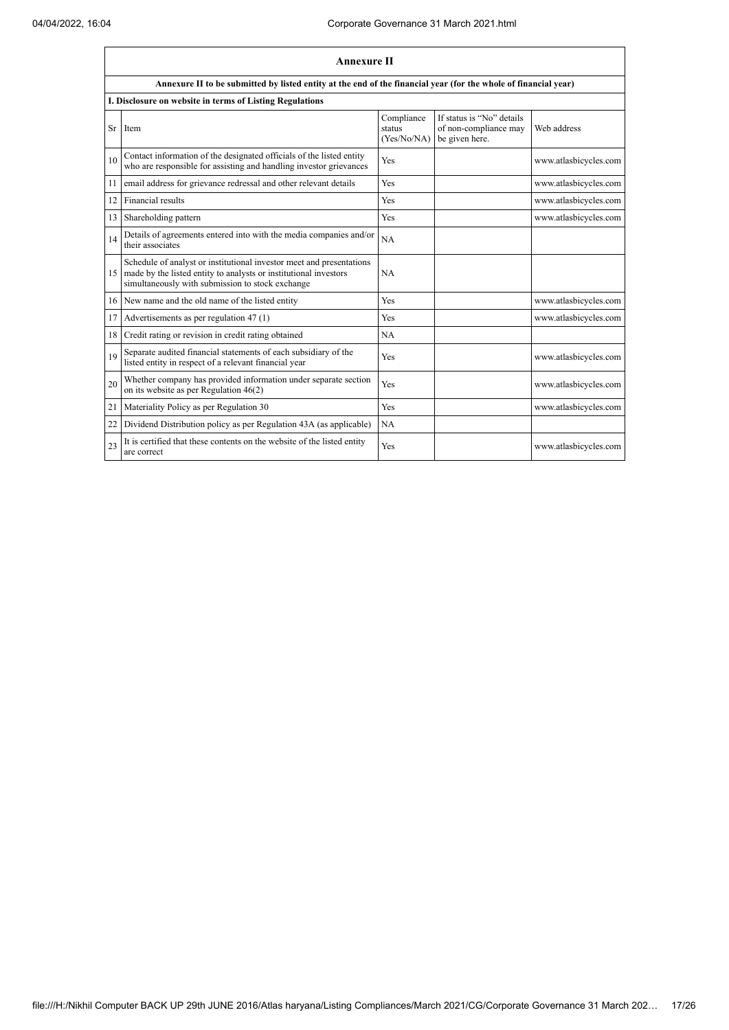|    | <b>Annexure II</b>                                                                                                                                                                           |                                     |                                                                      |                       |  |
|----|----------------------------------------------------------------------------------------------------------------------------------------------------------------------------------------------|-------------------------------------|----------------------------------------------------------------------|-----------------------|--|
|    | Annexure II to be submitted by listed entity at the end of the financial year (for the whole of financial year)                                                                              |                                     |                                                                      |                       |  |
|    | I. Disclosure on website in terms of Listing Regulations                                                                                                                                     |                                     |                                                                      |                       |  |
| Sr | Item                                                                                                                                                                                         | Compliance<br>status<br>(Yes/No/NA) | If status is "No" details<br>of non-compliance may<br>be given here. | Web address           |  |
| 10 | Contact information of the designated officials of the listed entity<br>who are responsible for assisting and handling investor grievances                                                   | Yes                                 |                                                                      | www.atlasbicycles.com |  |
| 11 | email address for grievance redressal and other relevant details                                                                                                                             | Yes                                 |                                                                      | www.atlasbicycles.com |  |
| 12 | Financial results                                                                                                                                                                            | Yes                                 |                                                                      | www.atlasbicycles.com |  |
| 13 | Shareholding pattern                                                                                                                                                                         | Yes                                 |                                                                      | www.atlasbicycles.com |  |
| 14 | Details of agreements entered into with the media companies and/or<br>their associates                                                                                                       | NA                                  |                                                                      |                       |  |
| 15 | Schedule of analyst or institutional investor meet and presentations<br>made by the listed entity to analysts or institutional investors<br>simultaneously with submission to stock exchange | NA                                  |                                                                      |                       |  |
| 16 | New name and the old name of the listed entity                                                                                                                                               | Yes                                 |                                                                      | www.atlasbicycles.com |  |
| 17 | Advertisements as per regulation 47 (1)                                                                                                                                                      | Yes                                 |                                                                      | www.atlasbicycles.com |  |
| 18 | Credit rating or revision in credit rating obtained                                                                                                                                          | NA                                  |                                                                      |                       |  |
| 19 | Separate audited financial statements of each subsidiary of the<br>listed entity in respect of a relevant financial year                                                                     | Yes                                 |                                                                      | www.atlasbicycles.com |  |
| 20 | Whether company has provided information under separate section<br>on its website as per Regulation $46(2)$                                                                                  | Yes                                 |                                                                      | www.atlasbicycles.com |  |
| 21 | Materiality Policy as per Regulation 30                                                                                                                                                      | Yes                                 |                                                                      | www.atlasbicycles.com |  |
| 22 | Dividend Distribution policy as per Regulation 43A (as applicable)                                                                                                                           | NA                                  |                                                                      |                       |  |
| 23 | It is certified that these contents on the website of the listed entity<br>are correct                                                                                                       | Yes                                 |                                                                      | www.atlasbicycles.com |  |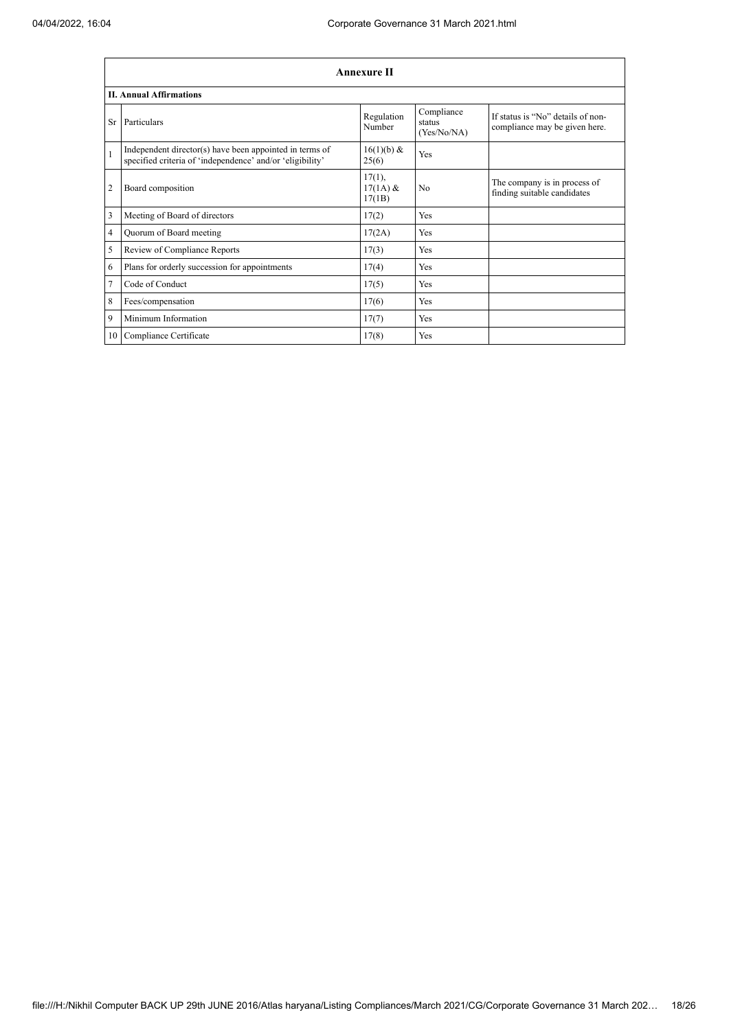|                | <b>Annexure II</b>                                                                                                   |                                   |                                     |                                                                    |  |  |
|----------------|----------------------------------------------------------------------------------------------------------------------|-----------------------------------|-------------------------------------|--------------------------------------------------------------------|--|--|
|                | <b>II. Annual Affirmations</b>                                                                                       |                                   |                                     |                                                                    |  |  |
| Sr             | Particulars                                                                                                          | Regulation<br>Number              | Compliance<br>status<br>(Yes/No/NA) | If status is "No" details of non-<br>compliance may be given here. |  |  |
| $\mathbf{1}$   | Independent director(s) have been appointed in terms of<br>specified criteria of 'independence' and/or 'eligibility' | 16(1)(b) &<br>25(6)               | Yes                                 |                                                                    |  |  |
| $\overline{2}$ | Board composition                                                                                                    | $17(1)$ ,<br>$17(1A)$ &<br>17(1B) | N <sub>0</sub>                      | The company is in process of<br>finding suitable candidates        |  |  |
| 3              | Meeting of Board of directors                                                                                        | 17(2)                             | Yes                                 |                                                                    |  |  |
| 4              | Quorum of Board meeting                                                                                              | 17(2A)                            | Yes                                 |                                                                    |  |  |
| 5              | Review of Compliance Reports                                                                                         | 17(3)                             | Yes                                 |                                                                    |  |  |
| 6              | Plans for orderly succession for appointments                                                                        | 17(4)                             | Yes                                 |                                                                    |  |  |
| $\overline{7}$ | Code of Conduct                                                                                                      | 17(5)                             | Yes                                 |                                                                    |  |  |
| 8              | Fees/compensation                                                                                                    | 17(6)                             | Yes                                 |                                                                    |  |  |
| 9              | Minimum Information                                                                                                  | 17(7)                             | Yes                                 |                                                                    |  |  |
|                | 10 Compliance Certificate                                                                                            | 17(8)                             | Yes                                 |                                                                    |  |  |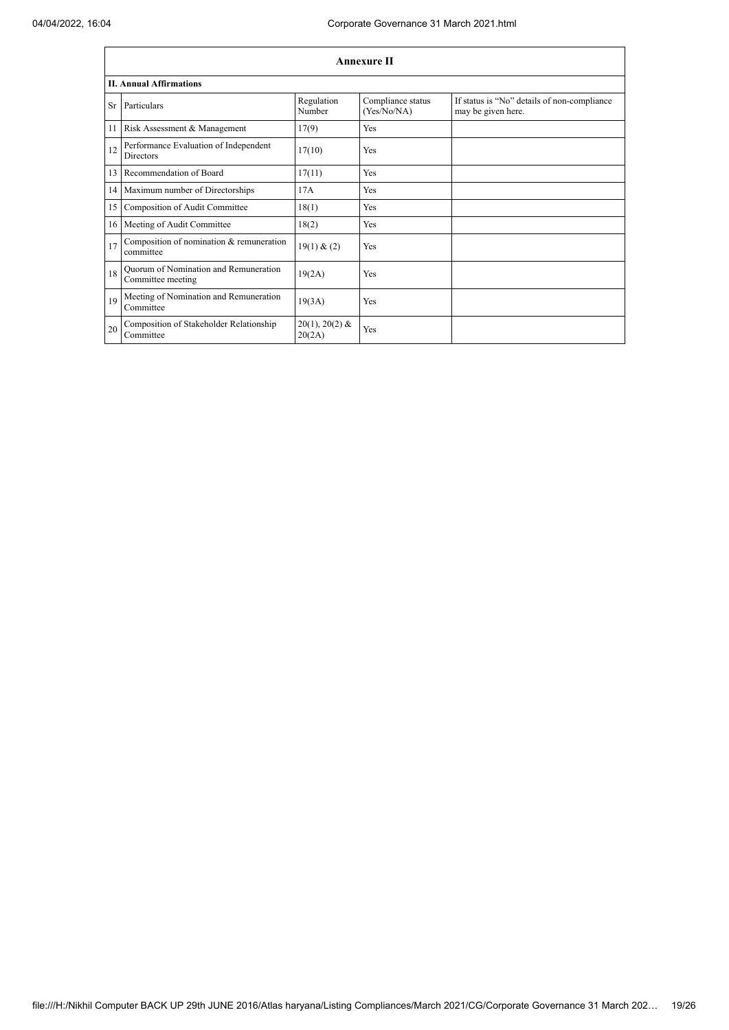|    | Annexure II                                                |                            |                                  |                                                                   |  |  |
|----|------------------------------------------------------------|----------------------------|----------------------------------|-------------------------------------------------------------------|--|--|
|    | <b>II. Annual Affirmations</b>                             |                            |                                  |                                                                   |  |  |
|    | Sr Particulars                                             | Regulation<br>Number       | Compliance status<br>(Yes/No/NA) | If status is "No" details of non-compliance<br>may be given here. |  |  |
| 11 | Risk Assessment & Management                               | 17(9)                      | Yes                              |                                                                   |  |  |
| 12 | Performance Evaluation of Independent<br><b>Directors</b>  | 17(10)                     | Yes                              |                                                                   |  |  |
| 13 | Recommendation of Board                                    | 17(11)                     | Yes                              |                                                                   |  |  |
|    | 14 Maximum number of Directorships                         | 17A                        | Yes                              |                                                                   |  |  |
| 15 | Composition of Audit Committee                             | 18(1)                      | Yes                              |                                                                   |  |  |
| 16 | Meeting of Audit Committee                                 | 18(2)                      | Yes                              |                                                                   |  |  |
| 17 | Composition of nomination & remuneration<br>committee      | 19(1) & (2)                | Yes                              |                                                                   |  |  |
| 18 | Quorum of Nomination and Remuneration<br>Committee meeting | 19(2A)                     | Yes                              |                                                                   |  |  |
| 19 | Meeting of Nomination and Remuneration<br>Committee        | 19(3A)                     | Yes                              |                                                                   |  |  |
| 20 | Composition of Stakeholder Relationship<br>Committee       | $20(1), 20(2)$ &<br>20(2A) | Yes                              |                                                                   |  |  |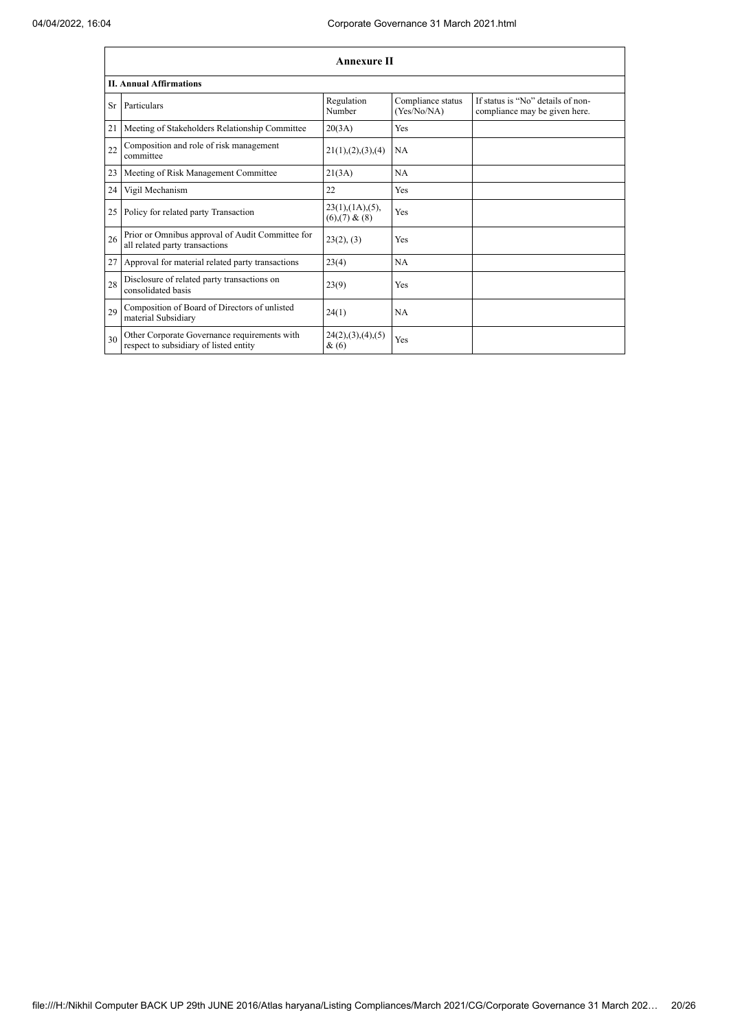|    | <b>Annexure II</b>                                                                     |                                                     |                                  |                                                                    |  |
|----|----------------------------------------------------------------------------------------|-----------------------------------------------------|----------------------------------|--------------------------------------------------------------------|--|
|    | <b>II. Annual Affirmations</b>                                                         |                                                     |                                  |                                                                    |  |
| Sr | Particulars                                                                            | Regulation<br>Number                                | Compliance status<br>(Yes/No/NA) | If status is "No" details of non-<br>compliance may be given here. |  |
| 21 | Meeting of Stakeholders Relationship Committee                                         | 20(3A)                                              | Yes                              |                                                                    |  |
| 22 | Composition and role of risk management<br>committee                                   | 21(1), (2), (3), (4)                                | NA                               |                                                                    |  |
| 23 | Meeting of Risk Management Committee                                                   | 21(3A)                                              | <b>NA</b>                        |                                                                    |  |
| 24 | Vigil Mechanism                                                                        | 22                                                  | Yes                              |                                                                    |  |
| 25 | Policy for related party Transaction                                                   | $23(1)$ , $(1A)$ , $(5)$ ,<br>$(6)$ , $(7)$ & $(8)$ | Yes                              |                                                                    |  |
| 26 | Prior or Omnibus approval of Audit Committee for<br>all related party transactions     | 23(2), (3)                                          | Yes                              |                                                                    |  |
| 27 | Approval for material related party transactions                                       | 23(4)                                               | <b>NA</b>                        |                                                                    |  |
| 28 | Disclosure of related party transactions on<br>consolidated basis                      | 23(9)                                               | Yes                              |                                                                    |  |
| 29 | Composition of Board of Directors of unlisted<br>material Subsidiary                   | 24(1)                                               | <b>NA</b>                        |                                                                    |  |
| 30 | Other Corporate Governance requirements with<br>respect to subsidiary of listed entity | 24(2), (3), (4), (5)<br>&(6)                        | Yes                              |                                                                    |  |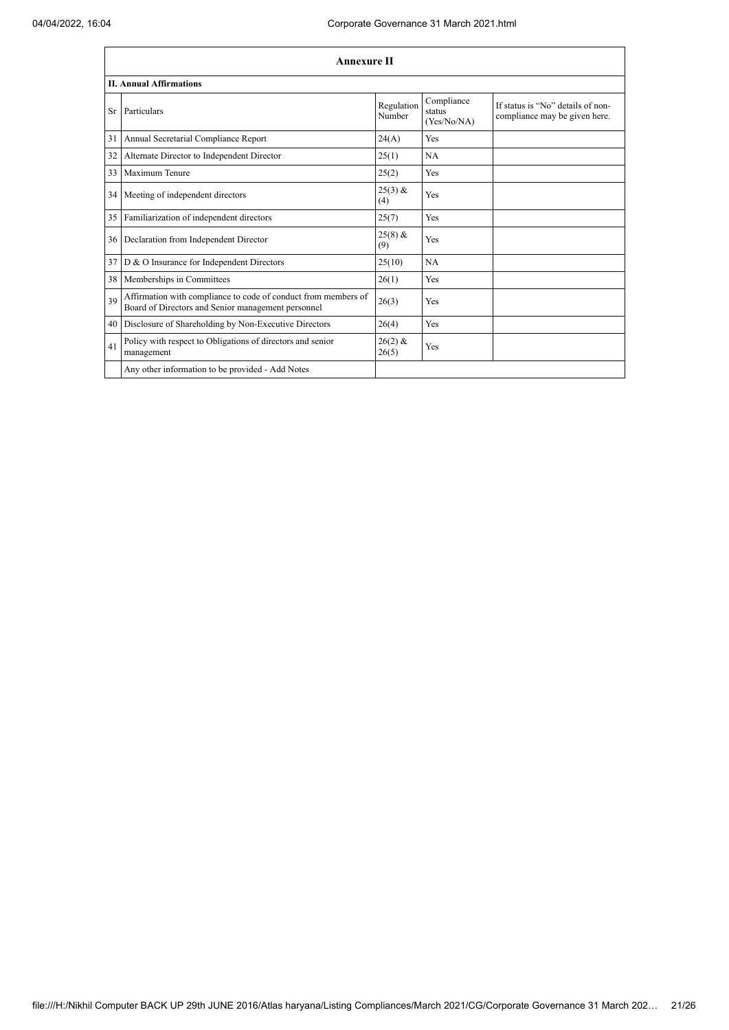|    | <b>Annexure II</b>                                                                                                   |                      |                                     |                                                                    |  |
|----|----------------------------------------------------------------------------------------------------------------------|----------------------|-------------------------------------|--------------------------------------------------------------------|--|
|    | <b>II. Annual Affirmations</b>                                                                                       |                      |                                     |                                                                    |  |
| Sr | Particulars                                                                                                          | Regulation<br>Number | Compliance<br>status<br>(Yes/No/NA) | If status is "No" details of non-<br>compliance may be given here. |  |
| 31 | Annual Secretarial Compliance Report                                                                                 | 24(A)                | Yes                                 |                                                                    |  |
| 32 | Alternate Director to Independent Director                                                                           | 25(1)                | NA                                  |                                                                    |  |
| 33 | Maximum Tenure                                                                                                       | 25(2)                | Yes                                 |                                                                    |  |
| 34 | Meeting of independent directors                                                                                     | $25(3)$ &<br>(4)     | Yes                                 |                                                                    |  |
| 35 | Familiarization of independent directors                                                                             | 25(7)                | Yes                                 |                                                                    |  |
| 36 | Declaration from Independent Director                                                                                | $25(8)$ &<br>(9)     | Yes                                 |                                                                    |  |
| 37 | D & O Insurance for Independent Directors                                                                            | 25(10)               | NA                                  |                                                                    |  |
| 38 | Memberships in Committees                                                                                            | 26(1)                | Yes                                 |                                                                    |  |
| 39 | Affirmation with compliance to code of conduct from members of<br>Board of Directors and Senior management personnel | 26(3)                | Yes                                 |                                                                    |  |
| 40 | Disclosure of Shareholding by Non-Executive Directors                                                                | 26(4)                | Yes                                 |                                                                    |  |
| 41 | Policy with respect to Obligations of directors and senior<br>management                                             | $26(2)$ &<br>26(5)   | Yes                                 |                                                                    |  |
|    | Any other information to be provided - Add Notes                                                                     |                      |                                     |                                                                    |  |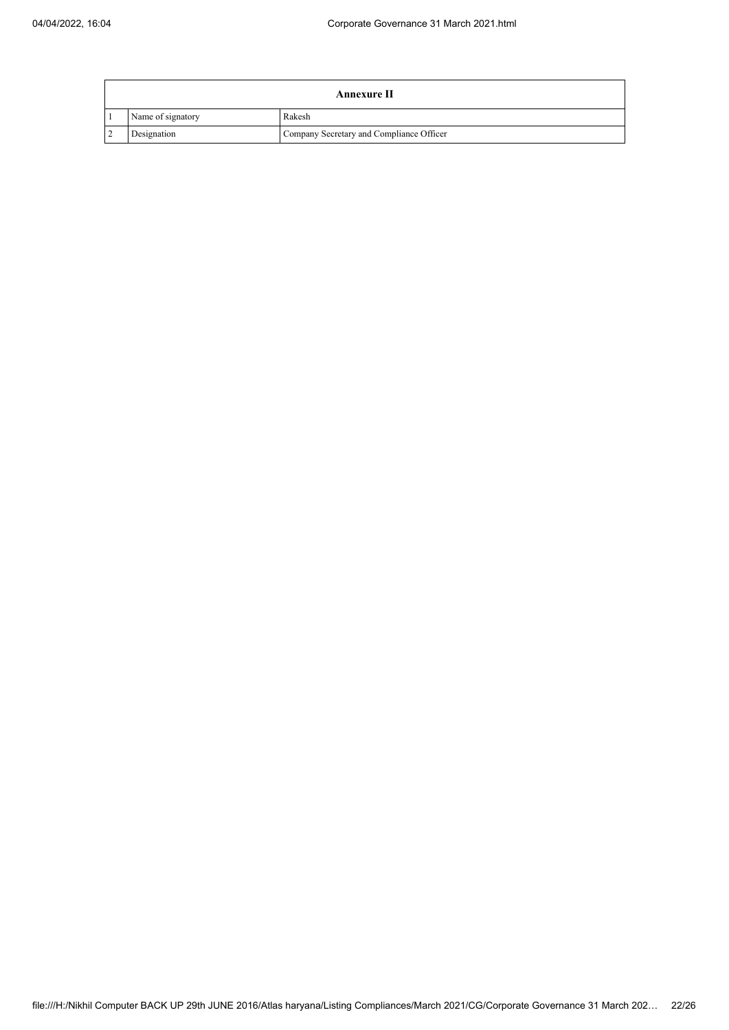|                | Annexure II       |                                          |  |  |
|----------------|-------------------|------------------------------------------|--|--|
|                | Name of signatory | Rakesh                                   |  |  |
| $\overline{2}$ | Designation       | Company Secretary and Compliance Officer |  |  |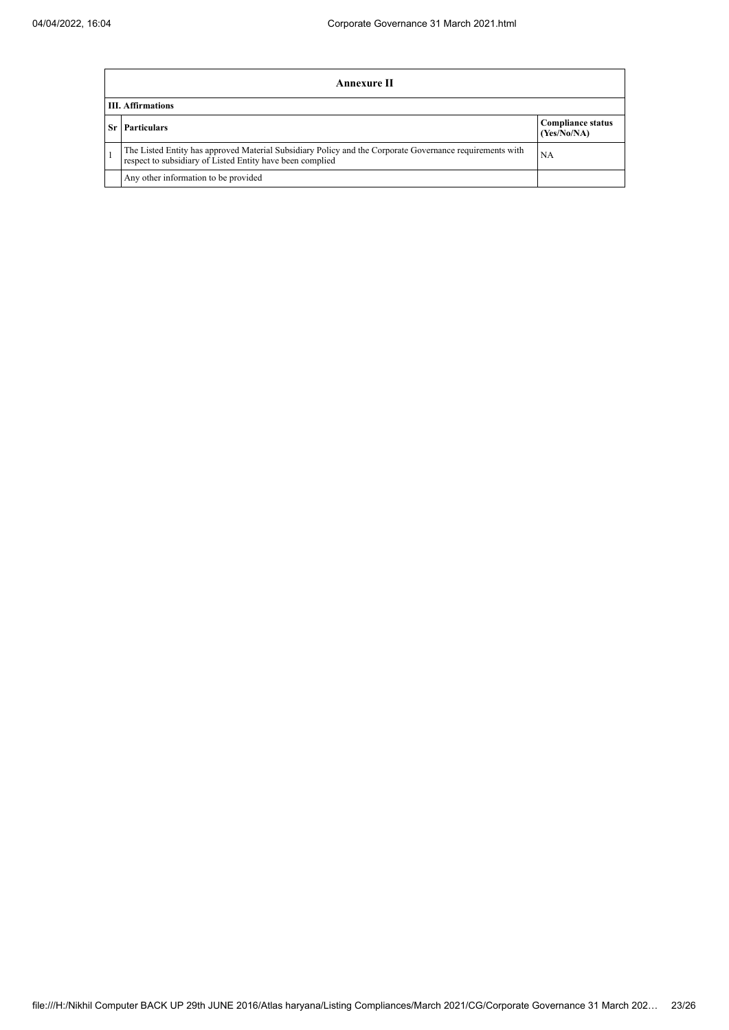|    | <b>Annexure II</b>                                                                                                                                                    |                                         |  |  |  |  |
|----|-----------------------------------------------------------------------------------------------------------------------------------------------------------------------|-----------------------------------------|--|--|--|--|
|    | <b>III.</b> Affirmations                                                                                                                                              |                                         |  |  |  |  |
| Sr | <b>Particulars</b>                                                                                                                                                    | <b>Compliance status</b><br>(Yes/No/NA) |  |  |  |  |
|    | The Listed Entity has approved Material Subsidiary Policy and the Corporate Governance requirements with<br>respect to subsidiary of Listed Entity have been complied | NA                                      |  |  |  |  |
|    | Any other information to be provided                                                                                                                                  |                                         |  |  |  |  |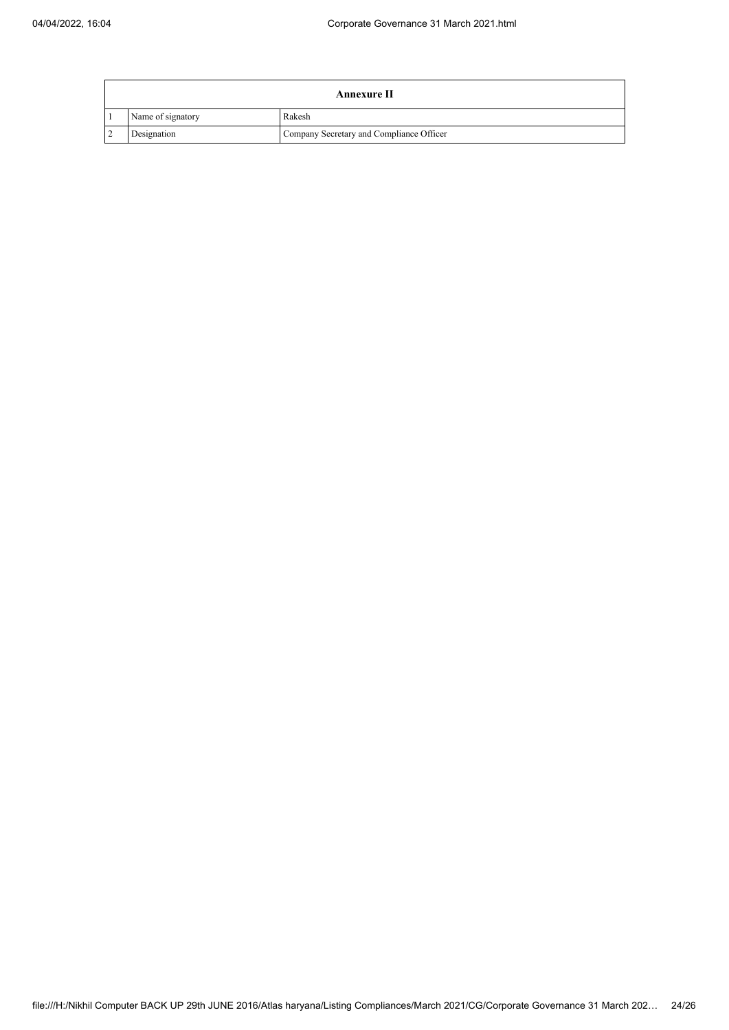|                | <b>Annexure II</b> |                                          |  |  |
|----------------|--------------------|------------------------------------------|--|--|
|                | Name of signatory  | Rakesh                                   |  |  |
| $\overline{2}$ | Designation        | Company Secretary and Compliance Officer |  |  |